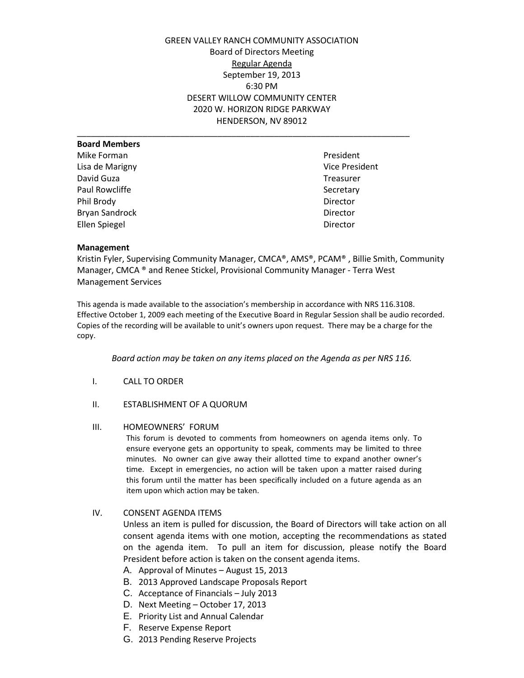GREEN VALLEY RANCH COMMUNITY ASSOCIATION Board of Directors Meeting Regular Agenda September 19, 2013 6:30 PM DESERT WILLOW COMMUNITY CENTER 2020 W. HORIZON RIDGE PARKWAY HENDERSON, NV 89012

\_\_\_\_\_\_\_\_\_\_\_\_\_\_\_\_\_\_\_\_\_\_\_\_\_\_\_\_\_\_\_\_\_\_\_\_\_\_\_\_\_\_\_\_\_\_\_\_\_\_\_\_\_\_\_\_\_\_\_\_\_\_\_\_\_\_\_\_\_\_\_

## **Board Members** Mike Forman **President President** Lisa de Marigny Vice President David Guza **Treasurer** Paul Rowcliffe Secretary Phil Brody Director Bryan Sandrock **Director** Director Ellen Spiegel and Director

## **Management**

Kristin Fyler, Supervising Community Manager, CMCA®, AMS®, PCAM® , Billie Smith, Community Manager, CMCA ® and Renee Stickel, Provisional Community Manager - Terra West Management Services

This agenda is made available to the association's membership in accordance with NRS 116.3108. Effective October 1, 2009 each meeting of the Executive Board in Regular Session shall be audio recorded. Copies of the recording will be available to unit's owners upon request. There may be a charge for the copy.

*Board action may be taken on any items placed on the Agenda as per NRS 116.*

- I. CALL TO ORDER
- II. ESTABLISHMENT OF A QUORUM
- III. HOMEOWNERS' FORUM

This forum is devoted to comments from homeowners on agenda items only. To ensure everyone gets an opportunity to speak, comments may be limited to three minutes. No owner can give away their allotted time to expand another owner's time. Except in emergencies, no action will be taken upon a matter raised during this forum until the matter has been specifically included on a future agenda as an item upon which action may be taken.

IV. CONSENT AGENDA ITEMS

Unless an item is pulled for discussion, the Board of Directors will take action on all consent agenda items with one motion, accepting the recommendations as stated on the agenda item. To pull an item for discussion, please notify the Board President before action is taken on the consent agenda items.

- A. Approval of Minutes August 15, 2013
- B. 2013 Approved Landscape Proposals Report
- C. Acceptance of Financials July 2013
- D. Next Meeting October 17, 2013
- E. Priority List and Annual Calendar
- F. Reserve Expense Report
- G. 2013 Pending Reserve Projects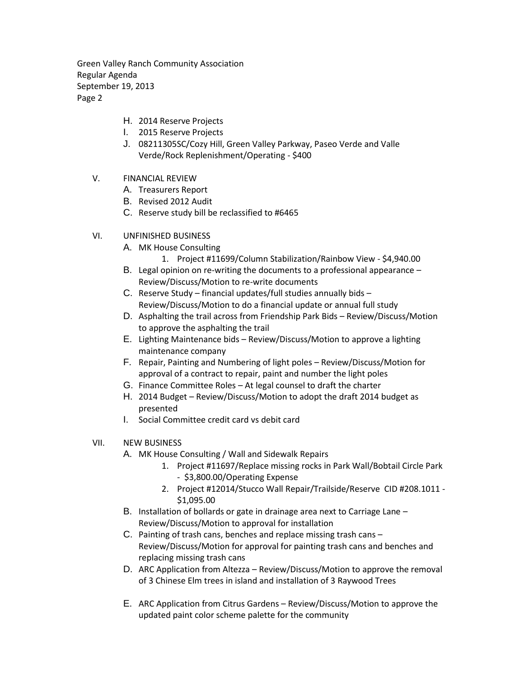Green Valley Ranch Community Association Regular Agenda September 19, 2013 Page 2

- H. 2014 Reserve Projects
- I. 2015 Reserve Projects
- J. 08211305SC/Cozy Hill, Green Valley Parkway, Paseo Verde and Valle Verde/Rock Replenishment/Operating - \$400
- V. FINANCIAL REVIEW
	- A. Treasurers Report
	- B. Revised 2012 Audit
	- C. Reserve study bill be reclassified to #6465
- VI. UNFINISHED BUSINESS
	- A. MK House Consulting
		- 1. Project #11699/Column Stabilization/Rainbow View \$4,940.00
	- B. Legal opinion on re-writing the documents to a professional appearance Review/Discuss/Motion to re-write documents
	- C. Reserve Study financial updates/full studies annually bids Review/Discuss/Motion to do a financial update or annual full study
	- D. Asphalting the trail across from Friendship Park Bids Review/Discuss/Motion to approve the asphalting the trail
	- E. Lighting Maintenance bids Review/Discuss/Motion to approve a lighting maintenance company
	- F. Repair, Painting and Numbering of light poles Review/Discuss/Motion for approval of a contract to repair, paint and number the light poles
	- G. Finance Committee Roles At legal counsel to draft the charter
	- H. 2014 Budget Review/Discuss/Motion to adopt the draft 2014 budget as presented
	- I. Social Committee credit card vs debit card
- VII. NEW BUSINESS
	- A. MK House Consulting / Wall and Sidewalk Repairs
		- 1. Project #11697/Replace missing rocks in Park Wall/Bobtail Circle Park - \$3,800.00/Operating Expense
		- 2. Project #12014/Stucco Wall Repair/Trailside/Reserve CID #208.1011 \$1,095.00
	- B. Installation of bollards or gate in drainage area next to Carriage Lane Review/Discuss/Motion to approval for installation
	- C. Painting of trash cans, benches and replace missing trash cans Review/Discuss/Motion for approval for painting trash cans and benches and replacing missing trash cans
	- D. ARC Application from Altezza Review/Discuss/Motion to approve the removal of 3 Chinese Elm trees in island and installation of 3 Raywood Trees
	- E. ARC Application from Citrus Gardens Review/Discuss/Motion to approve the updated paint color scheme palette for the community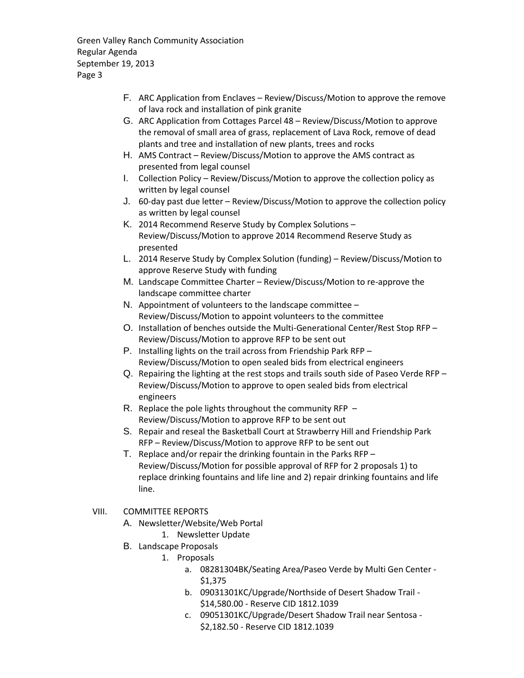Green Valley Ranch Community Association Regular Agenda September 19, 2013 Page 3

- F. ARC Application from Enclaves Review/Discuss/Motion to approve the remove of lava rock and installation of pink granite
- G. ARC Application from Cottages Parcel 48 Review/Discuss/Motion to approve the removal of small area of grass, replacement of Lava Rock, remove of dead plants and tree and installation of new plants, trees and rocks
- H. AMS Contract Review/Discuss/Motion to approve the AMS contract as presented from legal counsel
- I. Collection Policy Review/Discuss/Motion to approve the collection policy as written by legal counsel
- J. 60-day past due letter Review/Discuss/Motion to approve the collection policy as written by legal counsel
- K. 2014 Recommend Reserve Study by Complex Solutions Review/Discuss/Motion to approve 2014 Recommend Reserve Study as presented
- L. 2014 Reserve Study by Complex Solution (funding) Review/Discuss/Motion to approve Reserve Study with funding
- M. Landscape Committee Charter Review/Discuss/Motion to re-approve the landscape committee charter
- N. Appointment of volunteers to the landscape committee Review/Discuss/Motion to appoint volunteers to the committee
- O. Installation of benches outside the Multi-Generational Center/Rest Stop RFP Review/Discuss/Motion to approve RFP to be sent out
- P. Installing lights on the trail across from Friendship Park RFP Review/Discuss/Motion to open sealed bids from electrical engineers
- Q. Repairing the lighting at the rest stops and trails south side of Paseo Verde RFP Review/Discuss/Motion to approve to open sealed bids from electrical engineers
- R. Replace the pole lights throughout the community RFP Review/Discuss/Motion to approve RFP to be sent out
- S. Repair and reseal the Basketball Court at Strawberry Hill and Friendship Park RFP – Review/Discuss/Motion to approve RFP to be sent out
- T. Replace and/or repair the drinking fountain in the Parks RFP Review/Discuss/Motion for possible approval of RFP for 2 proposals 1) to replace drinking fountains and life line and 2) repair drinking fountains and life line.
- VIII. COMMITTEE REPORTS
	- A. Newsletter/Website/Web Portal
		- 1. Newsletter Update
	- B. Landscape Proposals
		- 1. Proposals
			- a. 08281304BK/Seating Area/Paseo Verde by Multi Gen Center \$1,375
			- b. 09031301KC/Upgrade/Northside of Desert Shadow Trail \$14,580.00 - Reserve CID 1812.1039
			- c. 09051301KC/Upgrade/Desert Shadow Trail near Sentosa \$2,182.50 - Reserve CID 1812.1039